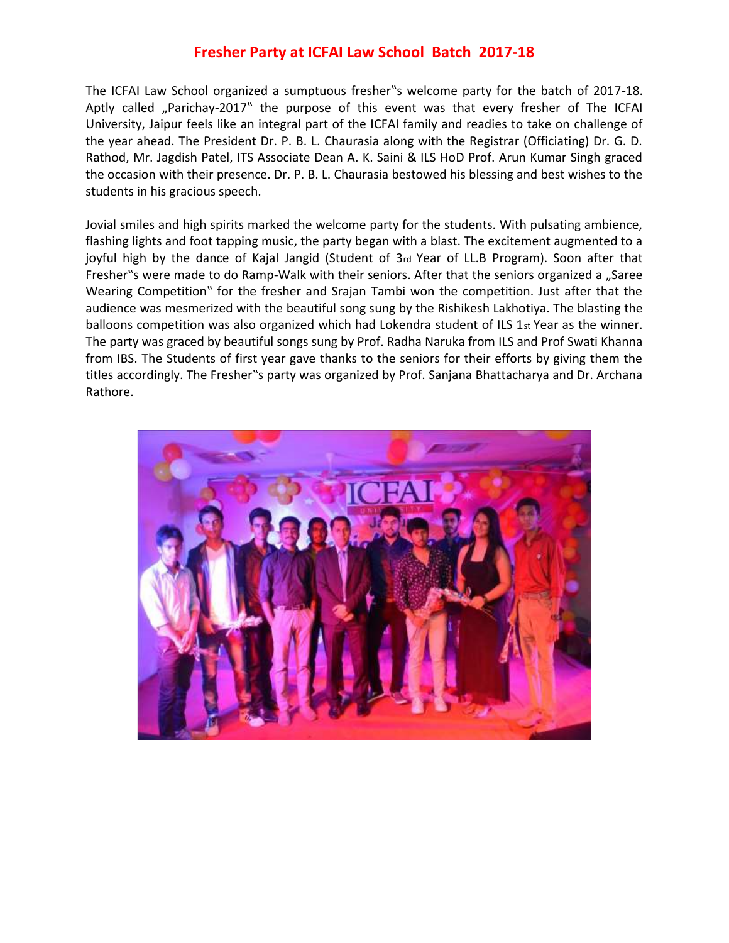## **Fresher Party at ICFAI Law School Batch 2017-18**

The ICFAI Law School organized a sumptuous fresher"s welcome party for the batch of 2017-18. Aptly called "Parichay-2017" the purpose of this event was that every fresher of The ICFAI University, Jaipur feels like an integral part of the ICFAI family and readies to take on challenge of the year ahead. The President Dr. P. B. L. Chaurasia along with the Registrar (Officiating) Dr. G. D. Rathod, Mr. Jagdish Patel, ITS Associate Dean A. K. Saini & ILS HoD Prof. Arun Kumar Singh graced the occasion with their presence. Dr. P. B. L. Chaurasia bestowed his blessing and best wishes to the students in his gracious speech.

Jovial smiles and high spirits marked the welcome party for the students. With pulsating ambience, flashing lights and foot tapping music, the party began with a blast. The excitement augmented to a joyful high by the dance of Kajal Jangid (Student of 3rd Year of LL.B Program). Soon after that Fresher"s were made to do Ramp-Walk with their seniors. After that the seniors organized a "Saree Wearing Competition" for the fresher and Srajan Tambi won the competition. Just after that the audience was mesmerized with the beautiful song sung by the Rishikesh Lakhotiya. The blasting the balloons competition was also organized which had Lokendra student of ILS 1st Year as the winner. The party was graced by beautiful songs sung by Prof. Radha Naruka from ILS and Prof Swati Khanna from IBS. The Students of first year gave thanks to the seniors for their efforts by giving them the titles accordingly. The Fresher"s party was organized by Prof. Sanjana Bhattacharya and Dr. Archana Rathore.